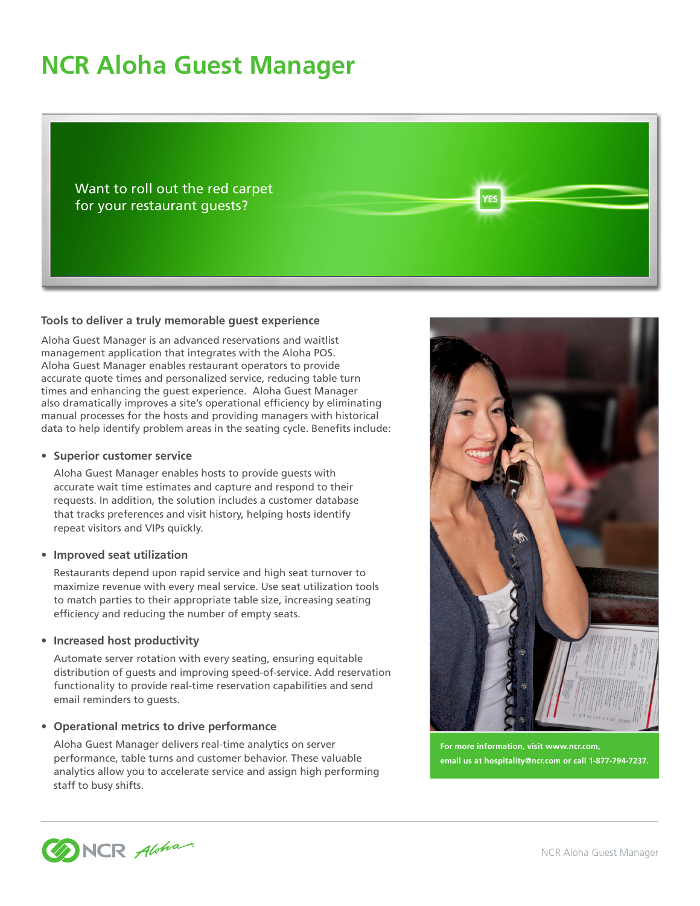# **NCR Aloha Guest Manager**

Want to roll out the red carpet for your restaurant guests?

### **Tools to deliver a truly memorable guest experience**

Aloha Guest Manager is an advanced reservations and waitlist management application that integrates with the Aloha POS. Aloha Guest Manager enables restaurant operators to provide accurate quote times and personalized service, reducing table turn times and enhancing the guest experience. Aloha Guest Manager also dramatically improves a site's operational efficiency by eliminating manual processes for the hosts and providing managers with historical data to help identify problem areas in the seating cycle. Benefits include:

### **• Superior customer service**

Aloha Guest Manager enables hosts to provide guests with accurate wait time estimates and capture and respond to their requests. In addition, the solution includes a customer database that tracks preferences and visit history, helping hosts identify repeat visitors and VIPs quickly.

### **• Improved seat utilization**

Restaurants depend upon rapid service and high seat turnover to maximize revenue with every meal service. Use seat utilization tools to match parties to their appropriate table size, increasing seating efficiency and reducing the number of empty seats.

### **• Increased host productivity**

Automate server rotation with every seating, ensuring equitable distribution of guests and improving speed-of-service. Add reservation functionality to provide real-time reservation capabilities and send email reminders to guests.

## **• Operational metrics to drive performance**

Aloha Guest Manager delivers real-time analytics on server performance, table turns and customer behavior. These valuable analytics allow you to accelerate service and assign high performing staff to busy shifts.



**/ES** 

**For more information, visit www.ncr.com, email us at hospitality@ncr.com or call 1-877-794-7237.**